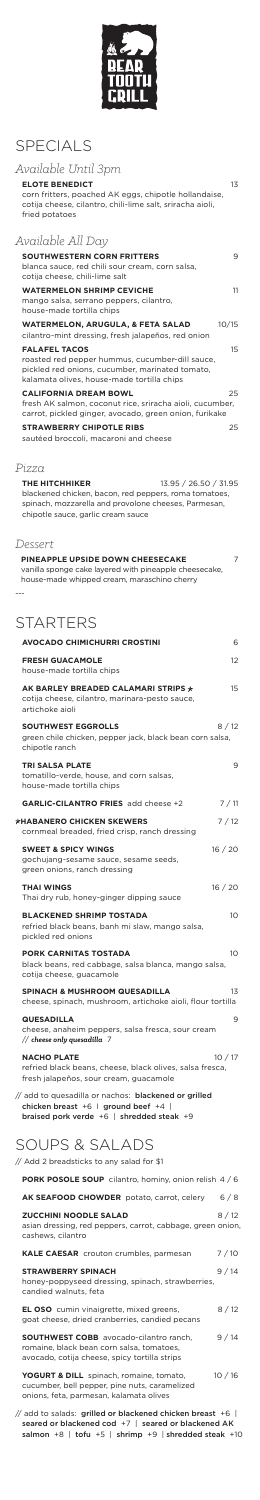

## SPECIALS

| Available Until 3pm                                                                                                                                                                                   |
|-------------------------------------------------------------------------------------------------------------------------------------------------------------------------------------------------------|
| 13<br><b>ELOTE BENEDICT</b><br>corn fritters, poached AK eggs, chipotle hollandaise,<br>cotija cheese, cilantro, chili-lime salt, sriracha aioli,<br>fried potatoes                                   |
| Available All Day                                                                                                                                                                                     |
| <b>SOUTHWESTERN CORN FRITTERS</b><br>9<br>blanca sauce, red chili sour cream, corn salsa,<br>cotija cheese, chili-lime salt                                                                           |
| <b>WATERMELON SHRIMP CEVICHE</b><br>11<br>mango salsa, serrano peppers, cilantro,<br>house-made tortilla chips                                                                                        |
| <b>WATERMELON, ARUGULA, &amp; FETA SALAD</b><br>10/15<br>cilantro-mint dressing, fresh jalapeños, red onion                                                                                           |
| <b>FALAFEL TACOS</b><br>15<br>roasted red pepper hummus, cucumber-dill sauce,<br>pickled red onions, cucumber, marinated tomato,<br>kalamata olives, house-made tortilla chips                        |
| <b>CALIFORNIA DREAM BOWL</b><br>25<br>fresh AK salmon, coconut rice, sriracha aioli, cucumber,<br>carrot, pickled ginger, avocado, green onion, furikake                                              |
| <b>STRAWBERRY CHIPOTLE RIBS</b><br>25<br>sautéed broccoli, macaroni and cheese                                                                                                                        |
| Pizza                                                                                                                                                                                                 |
| <b>THE HITCHHIKER</b><br>13.95 / 26.50 / 31.95<br>blackened chicken, bacon, red peppers, roma tomatoes,<br>spinach, mozzarella and provolone cheeses, Parmesan,<br>chipotle sauce, garlic cream sauce |
| Dessert                                                                                                                                                                                               |
| PINEAPPLE UPSIDE DOWN CHEESECAKE<br>7<br>vanilla sponge cake layered with pineapple cheesecake,<br>house-made whipped cream, maraschino cherry                                                        |
|                                                                                                                                                                                                       |
| <b>STARTERS</b>                                                                                                                                                                                       |
| <b>AVOCADO CHIMICHURRI CROSTINI</b><br>6                                                                                                                                                              |
| <b>FRESH GUACAMOLE</b><br>12<br>house-made tortilla chips                                                                                                                                             |
| AK BARLEY BREADED CALAMARI STRIPS $\dot{\varkappa}$<br>15<br>cotija cheese, cilantro, marinara-pesto sauce,<br>artichoke aioli                                                                        |
| <b>SOUTHWEST EGGROLLS</b><br>8/12<br>green chile chicken, pepper jack, black bean corn salsa,<br>chipotle ranch                                                                                       |

| <b>TRI SALSA PLATE</b><br>tomatillo-verde, house, and corn salsas,<br>house-made tortilla chips                                               | 9      |
|-----------------------------------------------------------------------------------------------------------------------------------------------|--------|
| <b>GARLIC-CILANTRO FRIES</b> add cheese +2                                                                                                    | 7/11   |
| <b>ጵHABANERO CHICKEN SKEWERS</b><br>cornmeal breaded, fried crisp, ranch dressing                                                             | 7/12   |
| <b>SWEET &amp; SPICY WINGS</b><br>gochujang-sesame sauce, sesame seeds,<br>green onions, ranch dressing                                       | 16/20  |
| <b>THAI WINGS</b><br>Thai dry rub, honey-ginger dipping sauce                                                                                 | 16/20  |
| <b>BLACKENED SHRIMP TOSTADA</b><br>refried black beans, banh mi slaw, mango salsa,<br>pickled red onions                                      | 10     |
| <b>PORK CARNITAS TOSTADA</b><br>black beans, red cabbage, salsa blanca, mango salsa,<br>cotija cheese, guacamole                              | 10     |
| <b>SPINACH &amp; MUSHROOM QUESADILLA</b><br>cheese, spinach, mushroom, artichoke aioli, flour tortilla                                        | 13     |
| <b>QUESADILLA</b><br>cheese, anaheim peppers, salsa fresca, sour cream<br>// cheese only quesadilla   7                                       | 9      |
| <b>NACHO PLATE</b><br>refried black beans, cheese, black olives, salsa fresca,<br>fresh jalapeños, sour cream, guacamole                      | 10/17  |
| // add to quesadilla or nachos: blackened or grilled<br>chicken breast +6   ground beef +4  <br>braised pork verde $+6$   shredded steak $+9$ |        |
| SOUPS & SALADS                                                                                                                                |        |
| // Add 2 breadsticks to any salad for \$1                                                                                                     |        |
| <b>PORK POSOLE SOUP</b> cilantro, hominy, onion relish 4/6                                                                                    |        |
| <b>AK SEAFOOD CHOWDER</b> potato, carrot, celery                                                                                              | 6/8    |
| <b>ZUCCHINI NOODLE SALAD</b><br>asian dressing, red peppers, carrot, cabbage, green onion,<br>cashews, cilantro                               | 8/12   |
| KALE CAESAR crouton crumbles, parmesan                                                                                                        | 7/10   |
| <b>STRAWBERRY SPINACH</b><br>honey-poppyseed dressing, spinach, strawberries,<br>candied walnuts, feta                                        | 9/14   |
| <b>EL OSO</b> cumin vinaigrette, mixed greens,<br>goat cheese, dried cranberries, candied pecans                                              | 8/12   |
| <b>SOUTHWEST COBB</b> avocado-cilantro ranch,<br>romaine, black bean corn salsa, tomatoes,<br>avocado, cotija cheese, spicy tortilla strips   | 9 / 14 |
| YOGURT & DILL spinach, romaine, tomato,<br>cucumber, bell pepper, pine nuts, caramelized<br>onions, feta, parmesan, kalamata olives           | 10/16  |
| // add to salads: grilled or blackened chicken breast +6  <br>seared or blackened cod +7   seared or blackened AK                             |        |

salmon  $+8$  | tofu  $+5$  | shrimp  $+9$  | shredded steak  $+10$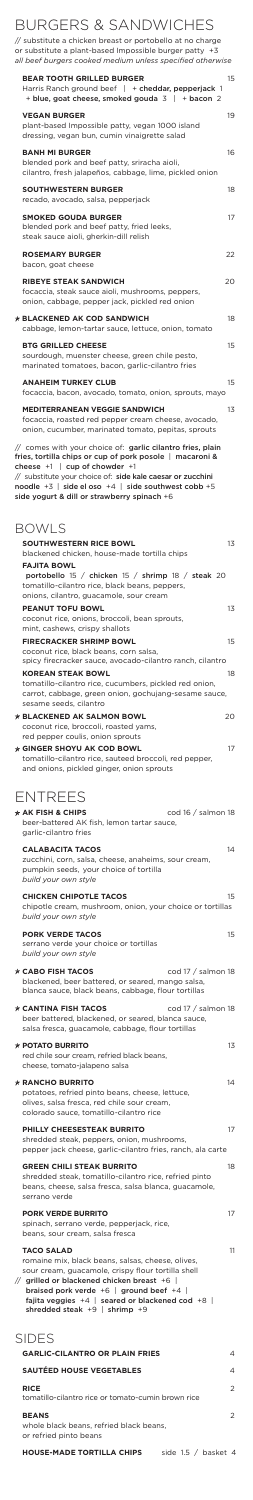## BURGERS & SANDWICHES

// substitute a chicken breast or portobello at no charge or substitute a plant-based Impossible burger patty +3 *all beef burgers cooked medium unless specified otherwise*

| <b>BEAR TOOTH GRILLED BURGER</b><br>Harris Ranch ground beef   + cheddar, pepperjack 1<br>+ blue, goat cheese, smoked gouda $3$   + bacon 2                                                                                                                                       | 15     |
|-----------------------------------------------------------------------------------------------------------------------------------------------------------------------------------------------------------------------------------------------------------------------------------|--------|
| <b>VEGAN BURGER</b><br>plant-based Impossible patty, vegan 1000 island<br>dressing, vegan bun, cumin vinaigrette salad                                                                                                                                                            | 19     |
| <b>BANH MI BURGER</b><br>blended pork and beef patty, sriracha aioli,<br>cilantro, fresh jalapeños, cabbage, lime, pickled onion                                                                                                                                                  | 16     |
| <b>SOUTHWESTERN BURGER</b><br>recado, avocado, salsa, pepperjack                                                                                                                                                                                                                  | 18     |
| <b>SMOKED GOUDA BURGER</b><br>blended pork and beef patty, fried leeks,<br>steak sauce aioli, gherkin-dill relish                                                                                                                                                                 | 17     |
| <b>ROSEMARY BURGER</b><br>bacon, goat cheese                                                                                                                                                                                                                                      | 22     |
| <b>RIBEYE STEAK SANDWICH</b><br>focaccia, steak sauce aioli, mushrooms, peppers,<br>onion, cabbage, pepper jack, pickled red onion                                                                                                                                                | 20     |
| <b>☆ BLACKENED AK COD SANDWICH</b><br>cabbage, lemon-tartar sauce, lettuce, onion, tomato                                                                                                                                                                                         | 18     |
| <b>BTG GRILLED CHEESE</b><br>sourdough, muenster cheese, green chile pesto,<br>marinated tomatoes, bacon, garlic-cilantro fries                                                                                                                                                   | 15     |
| <b>ANAHEIM TURKEY CLUB</b><br>focaccia, bacon, avocado, tomato, onion, sprouts, mayo                                                                                                                                                                                              | 15     |
| <b>MEDITERRANEAN VEGGIE SANDWICH</b><br>focaccia, roasted red pepper cream cheese, avocado,                                                                                                                                                                                       | 13     |
| onion, cucumber, marinated tomato, pepitas, sprouts<br>// comes with your choice of: garlic cilantro fries, plain<br>fries, tortilla chips or cup of pork posole   macaroni &                                                                                                     |        |
| cheese $+1$   cup of chowder $+1$<br>// substitute your choice of: side kale caesar or zucchini<br>noodle $+3$   side el oso $+4$   side southwest cobb $+5$<br>side yogurt & dill or strawberry spinach +6                                                                       |        |
| <b>BOWLS</b><br><b>SOUTHWESTERN RICE BOWL</b>                                                                                                                                                                                                                                     | 13     |
| blackened chicken, house-made tortilla chips<br><b>FAJITA BOWL</b><br>portobello 15 / chicken 15 / shrimp 18 / steak 20<br>tomatillo-cilantro rice, black beans, peppers,                                                                                                         |        |
| onions, cilantro, guacamole, sour cream<br><b>PEANUT TOFU BOWL</b>                                                                                                                                                                                                                | 13     |
| coconut rice, onions, broccoli, bean sprouts,<br>mint, cashews, crispy shallots<br><b>FIRECRACKER SHRIMP BOWL</b><br>coconut rice, black beans, corn salsa,                                                                                                                       | 15     |
| spicy firecracker sauce, avocado-cilantro ranch, cilantro<br><b>KOREAN STEAK BOWL</b><br>tomatillo-cilantro rice, cucumbers, pickled red onion,                                                                                                                                   | 18     |
| carrot, cabbage, green onion, gochujang-sesame sauce,<br>sesame seeds, cilantro                                                                                                                                                                                                   |        |
| $\star$ BLACKENED AK SALMON BOWL<br>coconut rice, broccoli, roasted yams,<br>red pepper coulis, onion sprouts                                                                                                                                                                     | 20     |
| $\star$ GINGER SHOYU AK COD BOWL<br>tomatillo-cilantro rice, sauteed broccoli, red pepper,<br>and onions, pickled ginger, onion sprouts                                                                                                                                           | 17     |
| <b>ENTREES</b>                                                                                                                                                                                                                                                                    |        |
| cod 16 / salmon 18<br>$\overline{\varkappa}$ AK FISH & CHIPS<br>beer-battered AK fish, lemon tartar sauce,<br>garlic-cilantro fries                                                                                                                                               |        |
| <b>CALABACITA TACOS</b><br>zucchini, corn, salsa, cheese, anaheims, sour cream,<br>pumpkin seeds, your choice of tortilla<br>build your own style                                                                                                                                 | 14     |
| <b>CHICKEN CHIPOTLE TACOS</b><br>chipotle cream, mushroom, onion, your choice or tortillas<br>build your own style                                                                                                                                                                | 15     |
| <b>PORK VERDE TACOS</b><br>serrano verde vour choice or tortillas<br>build your own style                                                                                                                                                                                         | 15     |
| $*$ CABO FISH TACOS<br>cod 17 / salmon 18<br>blackened, beer battered, or seared, mango salsa,<br>blanca sauce, black beans, cabbage, flour tortillas                                                                                                                             |        |
| $*$ CANTINA FISH TACOS<br>cod 17 / salmon 18<br>beer battered, blackened, or seared, blanca sauce,<br>salsa fresca, guacamole, cabbage, flour tortillas                                                                                                                           |        |
| $*$ POTATO BURRITO<br>red chile sour cream, refried black beans,<br>cheese, tomato-jalapeno salsa                                                                                                                                                                                 | 13     |
| <b><math>*</math> RANCHO BURRITO</b><br>potatoes, refried pinto beans, cheese, lettuce,<br>olives, salsa fresca, red chile sour cream,<br>colorado sauce, tomatillo-cilantro rice                                                                                                 | 14     |
| <b>PHILLY CHEESESTEAK BURRITO</b><br>shredded steak, peppers, onion, mushrooms,<br>pepper jack cheese, garlic-cilantro fries, ranch, ala carte                                                                                                                                    | 17     |
| <b>GREEN CHILI STEAK BURRITO</b><br>shredded steak, tomatillo-cilantro rice, refried pinto<br>beans, cheese, salsa fresca, salsa blanca, guacamole,<br>serrano verde                                                                                                              | 18     |
| <b>PORK VERDE BURRITO</b><br>spinach, serrano verde, pepperjack, rice,<br>beans, sour cream, salsa fresca                                                                                                                                                                         | 17     |
| <b>TACO SALAD</b><br>romaine mix, black beans, salsas, cheese, olives,<br>sour cream, guacamole, crispy flour tortilla shell<br>// grilled or blackened chicken breast +6  <br>braised pork verde $+6$   ground beef $+4$  <br>fajita veggies $+4$   seared or blackened cod $+8$ | 11     |
| shredded steak $+9$   shrimp $+9$<br><b>SIDES</b>                                                                                                                                                                                                                                 |        |
| <b>GARLIC-CILANTRO OR PLAIN FRIES</b>                                                                                                                                                                                                                                             | 4      |
| <b>SAUTÉED HOUSE VEGETABLES</b><br><b>RICE</b>                                                                                                                                                                                                                                    | 4<br>2 |
| tomatillo-cilantro rice or tomato-cumin brown rice<br><b>BEANS</b>                                                                                                                                                                                                                | 2      |
| whole black beans, refried black beans,<br>or refried pinto beans                                                                                                                                                                                                                 |        |

**HOUSE-MADE TORTILLA CHIPS** side 1.5 / basket 4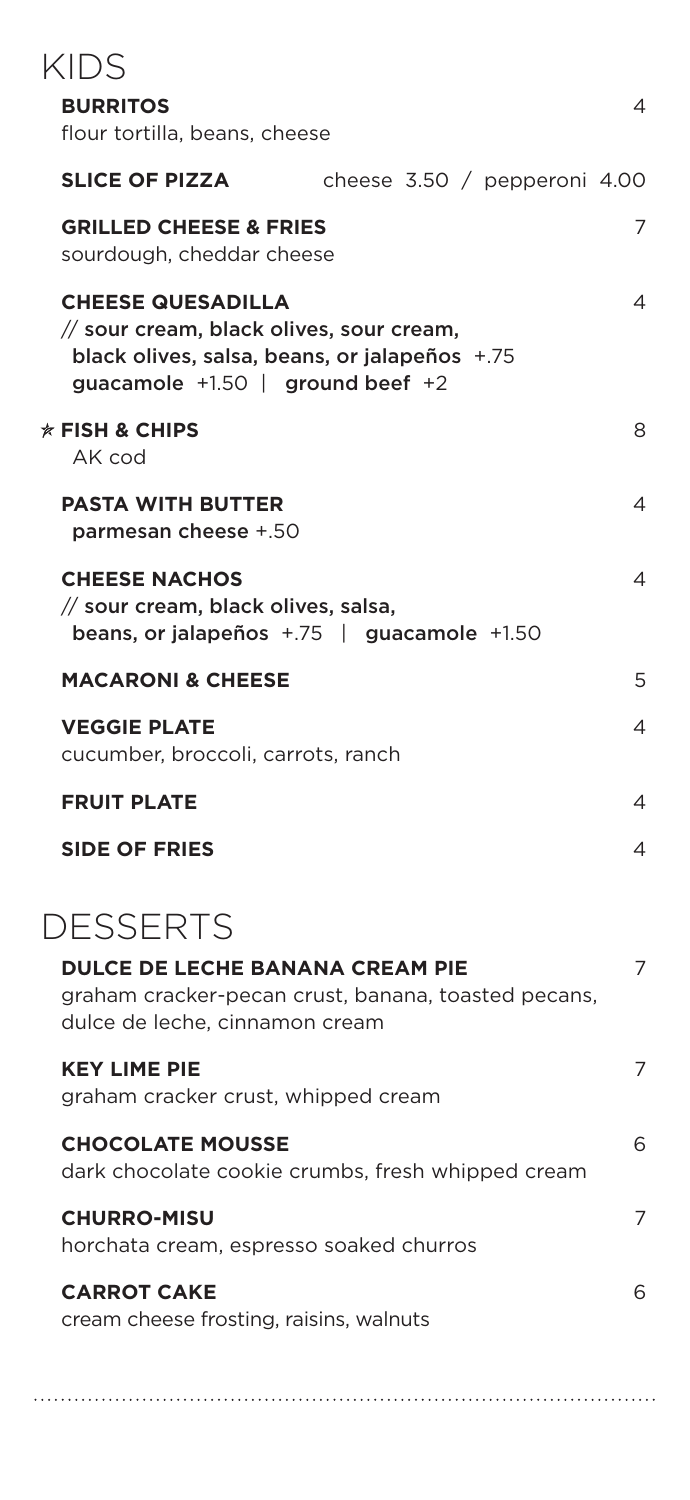#### **BURRITOS** 4

| flour tortilla, beans, cheese                                                                                                                                 |                                |   |
|---------------------------------------------------------------------------------------------------------------------------------------------------------------|--------------------------------|---|
| <b>SLICE OF PIZZA</b>                                                                                                                                         | cheese $3.50 /$ pepperoni 4.00 |   |
| <b>GRILLED CHEESE &amp; FRIES</b><br>sourdough, cheddar cheese                                                                                                |                                | 7 |
| <b>CHEESE QUESADILLA</b><br>// sour cream, black olives, sour cream,<br>black olives, salsa, beans, or jalapeños +.75<br>guacamole $+1.50$   ground beef $+2$ |                                | 4 |
| $*$ FISH & CHIPS<br>AK cod                                                                                                                                    |                                | 8 |
| <b>PASTA WITH BUTTER</b><br>parmesan cheese +.50                                                                                                              |                                | 4 |
| <b>CHEESE NACHOS</b><br>// sour cream, black olives, salsa,<br>beans, or jalapeños $+75$   guacamole $+1.50$                                                  |                                | 4 |
| <b>MACARONI &amp; CHEESE</b>                                                                                                                                  |                                | 5 |
| <b>VEGGIE PLATE</b><br>cucumber, broccoli, carrots, ranch                                                                                                     |                                | 4 |
| <b>FRUIT PLATE</b>                                                                                                                                            |                                | 4 |
| <b>SIDE OF FRIES</b>                                                                                                                                          |                                | 4 |
| <b>DESSERTS</b>                                                                                                                                               |                                |   |
| <b>DULCE DE LECHE BANANA CREAM PIE</b>                                                                                                                        |                                | 7 |

graham cracker-pecan crust, banana, toasted pecans, dulce de leche, cinnamon cream

### **KEY LIME PIE** 7 graham cracker crust, whipped cream **CHOCOLATE MOUSSE** 6 dark chocolate cookie crumbs, fresh whipped cream

**CHURRO-MISU** 7 horchata cream, espresso soaked churros

### **CARROT CAKE** 6 cream cheese frosting, raisins, walnuts